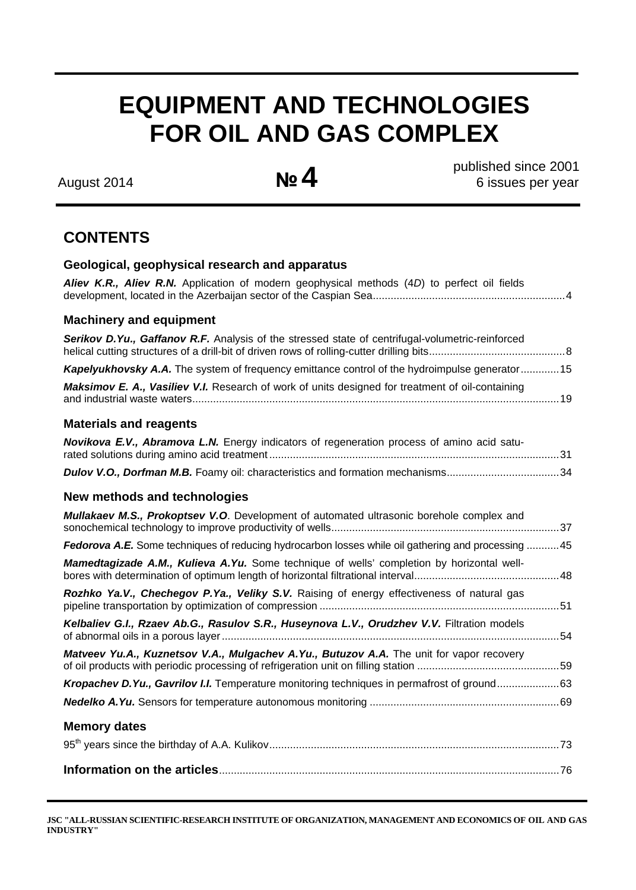# **EQUIPMENT AND TECHNOLOGIES FOR OIL AND GAS COMPLEX**

August 2014 **№4** 

 published since 2001 6 issues per year

## **CONTENTS**

| Geological, geophysical research and apparatus                                                     |
|----------------------------------------------------------------------------------------------------|
| Aliev K.R., Aliev R.N. Application of modern geophysical methods (4D) to perfect oil fields        |
| <b>Machinery and equipment</b>                                                                     |
| Serikov D.Yu., Gaffanov R.F. Analysis of the stressed state of centrifugal-volumetric-reinforced   |
| Kapelyukhovsky A.A. The system of frequency emittance control of the hydroimpulse generator 15     |
| Maksimov E. A., Vasiliev V.I. Research of work of units designed for treatment of oil-containing   |
| <b>Materials and reagents</b>                                                                      |
| Novikova E.V., Abramova L.N. Energy indicators of regeneration process of amino acid satu-         |
| Dulov V.O., Dorfman M.B. Foamy oil: characteristics and formation mechanisms34                     |
| New methods and technologies                                                                       |
| <b>Mullakaev M.S., Prokoptsev V.O.</b> Development of automated ultrasonic borehole complex and    |
| Fedorova A.E. Some techniques of reducing hydrocarbon losses while oil gathering and processing 45 |
| Mamedtagizade A.M., Kulieva A.Yu. Some technique of wells' completion by horizontal well-          |
| Rozhko Ya.V., Chechegov P.Ya., Veliky S.V. Raising of energy effectiveness of natural gas          |
| Kelbaliev G.I., Rzaev Ab.G., Rasulov S.R., Huseynova L.V., Orudzhev V.V. Filtration models         |
| Matveev Yu.A., Kuznetsov V.A., Mulgachev A.Yu., Butuzov A.A. The unit for vapor recovery           |
| Kropachev D.Yu., Gavrilov I.I. Temperature monitoring techniques in permafrost of ground63         |
|                                                                                                    |
| <b>Memory dates</b>                                                                                |
|                                                                                                    |
|                                                                                                    |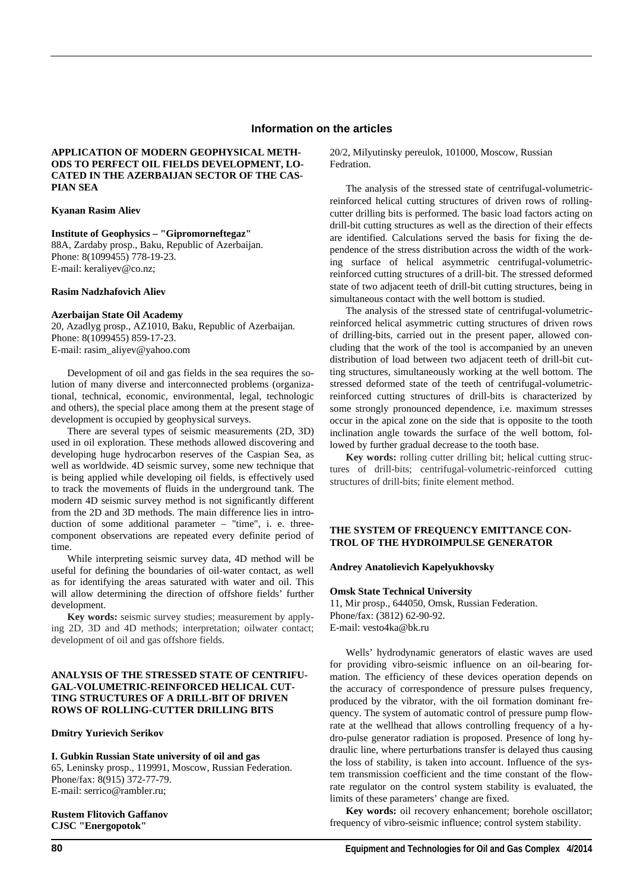#### **Information on the articles**

#### **APPLICATION OF MODERN GEOPHYSICAL METH-ODS TO PERFECT OIL FIELDS DEVELOPMENT, LO-CATED IN THE AZERBAIJAN SECTOR OF THE CAS-PIAN SEA**

#### **Kyanan Rasim Aliev**

**Institute of Geophysics – "Gipromorneftegaz"** 

88A, Zardaby prosp., Baku, Republic of Azerbaijan. Phone: 8(1099455) 778-19-23. Е-mail: keraliyev@co.nz;

#### **Rasim Nadzhafovich Aliev**

#### **Azerbaijan State Oil Academy**

20, Azadlyg prosp., AZ1010, Baku, Republic of Azerbaijan. Phone: 8(1099455) 859-17-23. E-mail: rasim\_aliyev@yahoo.com

Development of oil and gas fields in the sea requires the solution of many diverse and interconnected problems (organizational, technical, economic, environmental, legal, technologic and others), the special place among them at the present stage of development is occupied by geophysical surveys.

There are several types of seismic measurements (2D, 3D) used in oil exploration. These methods allowed discovering and developing huge hydrocarbon reserves of the Caspian Sea, as well as worldwide. 4D seismic survey, some new technique that is being applied while developing oil fields, is effectively used to track the movements of fluids in the underground tank. The modern 4D seismic survey method is not significantly different from the 2D and 3D methods. The main difference lies in introduction of some additional parameter – "time", i. e. threecomponent observations are repeated every definite period of time.

While interpreting seismic survey data, 4D method will be useful for defining the boundaries of oil-water contact, as well as for identifying the areas saturated with water and oil. This will allow determining the direction of offshore fields' further development.

**Key words:** seismic survey studies; measurement by applying 2D, 3D and 4D methods; interpretation; oilwater contact; development of oil and gas offshore fields.

#### **ANALYSIS OF THE STRESSED STATE OF CENTRIFU-GAL-VOLUMETRIC-REINFORCED HELICAL CUT-TING STRUCTURES OF A DRILL-BIT OF DRIVEN ROWS OF ROLLING-CUTTER DRILLING BITS**

#### **Dmitry Yurievich Serikov**

**I. Gubkin Russian State university of oil and gas**  65, Leninsky prosp., 119991, Moscow, Russian Federation. Phone/fax: 8(915) 372-77-79. E-mail: serrico@rambler.ru;

#### **Rustem Flitovich Gaffanov CJSC "Energopotok"**

The analysis of the stressed state of centrifugal-volumetricreinforced helical cutting structures of driven rows of rollingcutter drilling bits is performed. The basic load factors acting on drill-bit cutting structures as well as the direction of their effects are identified. Calculations served the basis for fixing the dependence of the stress distribution across the width of the working surface of helical asymmetric centrifugal-volumetricreinforced cutting structures of a drill-bit. The stressed deformed state of two adjacent teeth of drill-bit cutting structures, being in simultaneous contact with the well bottom is studied.

The analysis of the stressed state of centrifugal-volumetricreinforced helical asymmetric cutting structures of driven rows of drilling-bits, carried out in the present paper, allowed concluding that the work of the tool is accompanied by an uneven distribution of load between two adjacent teeth of drill-bit cutting structures, simultaneously working at the well bottom. The stressed deformed state of the teeth of centrifugal-volumetricreinforced cutting structures of drill-bits is characterized by some strongly pronounced dependence, i.e. maximum stresses occur in the apical zone on the side that is opposite to the tooth inclination angle towards the surface of the well bottom, followed by further gradual decrease to the tooth base.

**Key words:** rolling cutter drilling bit; helical cutting structures of drill-bits; centrifugal-volumetric-reinforced cutting structures of drill-bits; finite element method.

#### **THE SYSTEM OF FREQUENCY EMITTANCE CON-TROL OF THE HYDROIMPULSE GENERATOR**

#### **Andrey Anatolievich Kapelyukhovsky**

#### **Omsk State Technical University**

11, Mir prosp., 644050, Omsk, Russian Federation. Phone/fax: (3812) 62-90-92. E-mail: vesto4ka@bk.ru

Wells' hydrodynamic generators of elastic waves are used for providing vibro-seismic influence on an oil-bearing formation. The efficiency of these devices operation depends on the accuracy of correspondence of pressure pulses frequency, produced by the vibrator, with the oil formation dominant frequency. The system of automatic control of pressure pump flowrate at the wellhead that allows controlling frequency of a hydro-pulse generator radiation is proposed. Presence of long hydraulic line, where perturbations transfer is delayed thus causing the loss of stability, is taken into account. Influence of the system transmission coefficient and the time constant of the flowrate regulator on the control system stability is evaluated, the limits of these parameters' change are fixed.

**Key words:** oil recovery enhancement; borehole oscillator; frequency of vibro-seismic influence; control system stability.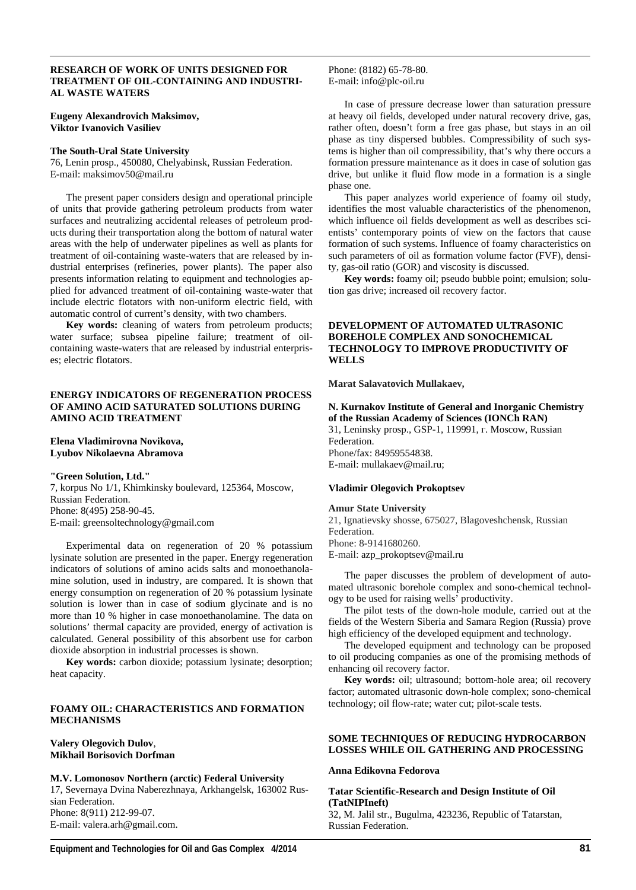#### **RESEARCH OF WORK OF UNITS DESIGNED FOR TREATMENT OF OIL-CONTAINING AND INDUSTRI-AL WASTE WATERS**

**Eugeny Alexandrovich Maksimov, Viktor Ivanovich Vasiliev** 

#### **The South-Ural State University**

76, Lenin prosp., 450080, Chelyabinsk, Russian Federation. E-mail: maksimov50@mail.ru

The present paper considers design and operational principle of units that provide gathering petroleum products from water surfaces and neutralizing accidental releases of petroleum products during their transportation along the bottom of natural water areas with the help of underwater pipelines as well as plants for treatment of oil-containing waste-waters that are released by industrial enterprises (refineries, power plants). The paper also presents information relating to equipment and technologies applied for advanced treatment of oil-containing waste-water that include electric flotators with non-uniform electric field, with automatic control of current's density, with two chambers.

**Key words:** cleaning of waters from petroleum products; water surface; subsea pipeline failure; treatment of oilcontaining waste-waters that are released by industrial enterprises; electric flotators.

#### **ENERGY INDICATORS OF REGENERATION PROCESS OF AMINO ACID SATURATED SOLUTIONS DURING AMINO ACID TREATMENT**

#### **Elena Vladimirovna Novikova, Lyubov Nikolaevna Abramova**

**"Green Solution, Ltd."**  7, korpus No 1/1, Khimkinsky boulevard, 125364, Moscow, Russian Federation. Phone: 8(495) 258-90-45. E-mail: greensoltechnology@gmail.com

Experimental data on regeneration of 20 % potassium lysinate solution are presented in the paper. Energy regeneration indicators of solutions of amino acids salts and monoethanolamine solution, used in industry, are compared. It is shown that energy consumption on regeneration of 20 % potassium lysinate solution is lower than in case of sodium glycinate and is no more than 10 % higher in case monoethanolamine. The data on solutions' thermal capacity are provided, energy of activation is calculated. General possibility of this absorbent use for carbon dioxide absorption in industrial processes is shown.

**Key words:** carbon dioxide; potassium lysinate; desorption; heat capacity.

#### **FOAMY OIL: CHARACTERISTICS AND FORMATION MECHANISMS**

#### **Valery Olegovich Dulov**, **Mikhail Borisovich Dorfman**

**M.V. Lomonosov Northern (arctic) Federal University**  17, Severnaya Dvina Naberezhnaya, Arkhangelsk, 163002 Russian Federation. Phone: 8(911) 212-99-07. E-mail: valera.arh@gmail.com.

Phone: (8182) 65-78-80. E-mail: info@plc-oil.ru

In case of pressure decrease lower than saturation pressure at heavy oil fields, developed under natural recovery drive, gas, rather often, doesn't form a free gas phase, but stays in an oil phase as tiny dispersed bubbles. Compressibility of such systems is higher than oil compressibility, that's why there occurs a formation pressure maintenance as it does in case of solution gas drive, but unlike it fluid flow mode in a formation is a single phase one.

This paper analyzes world experience of foamy oil study, identifies the most valuable characteristics of the phenomenon, which influence oil fields development as well as describes scientists' contemporary points of view on the factors that cause formation of such systems. Influence of foamy characteristics on such parameters of oil as formation volume factor (FVF), density, gas-oil ratio (GOR) and viscosity is discussed.

**Key words:** foamy oil; pseudo bubble point; emulsion; solution gas drive; increased oil recovery factor.

#### **DEVELOPMENT OF AUTOMATED ULTRASONIC BOREHOLE COMPLEX AND SONOCHEMICAL TECHNOLOGY TO IMPROVE PRODUCTIVITY OF WELLS**

**Marat Salavatovich Mullakaev,**

### **N. Kurnakov Institute of General and Inorganic Chemistry of the Russian Academy of Sciences (IONCh RAN)**

31, Leninsky prosp., GSP-1, 119991, г. Moscow, Russian Federation. Phone/fax: 84959554838. E-mail: mullakaev@mail.ru;

#### **Vladimir Olegovich Prokoptsev**

#### **Amur State University**

21, Ignatievsky shosse, 675027, Blagoveshchensk, Russian Federation. Phone: 8-9141680260. E-mail: azp\_prokoptsev@mail.ru

The paper discusses the problem of development of automated ultrasonic borehole complex and sono-chemical technology to be used for raising wells' productivity.

The pilot tests of the down-hole module, carried out at the fields of the Western Siberia and Samara Region (Russia) prove high efficiency of the developed equipment and technology.

The developed equipment and technology can be proposed to oil producing companies as one of the promising methods of enhancing oil recovery factor.

**Key words:** оil; ultrasound; bottom-hole area; oil recovery factor; automated ultrasonic down-hole complex; sono-chemical technology; oil flow-rate; water cut; pilot-scale tests.

#### **SOME TECHNIQUES OF REDUCING HYDROCARBON LOSSES WHILE OIL GATHERING AND PROCESSING**

#### **Anna Edikovna Fedorova**

#### **Tatar Scientific-Research and Design Institute of Oil (TatNIPIneft)**

32, M. Jalil str., Bugulma, 423236, Republic of Tatarstan, Russian Federation.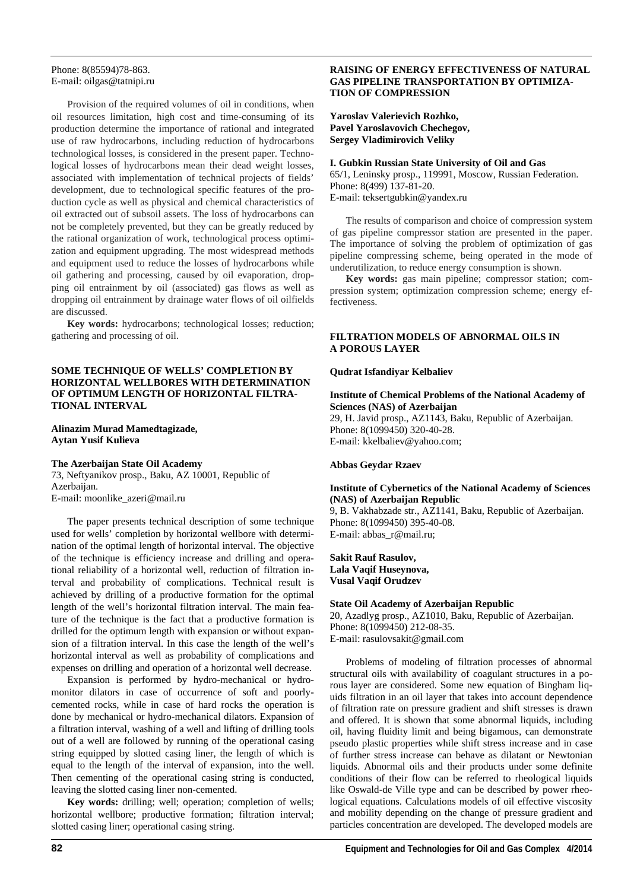#### Phone: 8(85594)78-863. E-mail: oilgas@tatnipi.ru

Provision of the required volumes of oil in conditions, when oil resources limitation, high cost and time-consuming of its production determine the importance of rational and integrated use of raw hydrocarbons, including reduction of hydrocarbons technological losses, is considered in the present paper. Technological losses of hydrocarbons mean their dead weight losses, associated with implementation of technical projects of fields' development, due to technological specific features of the production cycle as well as physical and chemical characteristics of oil extracted out of subsoil assets. The loss of hydrocarbons can not be completely prevented, but they can be greatly reduced by the rational organization of work, technological process optimization and equipment upgrading. The most widespread methods and equipment used to reduce the losses of hydrocarbons while oil gathering and processing, caused by oil evaporation, dropping oil entrainment by oil (associated) gas flows as well as dropping oil entrainment by drainage water flows of oil oilfields are discussed.

**Key words:** hydrocarbons; technological losses; reduction; gathering and processing of oil.

#### **SOME TECHNIQUE OF WELLS' COMPLETION BY HORIZONTAL WELLBORES WITH DETERMINATION OF OPTIMUM LENGTH OF HORIZONTAL FILTRA-TIONAL INTERVAL**

#### **Alinazim Murad Mamedtagizade, Aytan Yusif Kulieva**

#### **The Azerbaijan State Oil Academy**

73, Neftyanikov prosp., Baku, AZ 10001, Republic of Azerbaijan. E-mail: moonlike\_azeri@mail.ru

The paper presents technical description of some technique used for wells' completion by horizontal wellbore with determination of the optimal length of horizontal interval. The objective of the technique is efficiency increase and drilling and operational reliability of a horizontal well, reduction of filtration interval and probability of complications. Technical result is achieved by drilling of a productive formation for the optimal length of the well's horizontal filtration interval. The main feature of the technique is the fact that a productive formation is drilled for the optimum length with expansion or without expansion of a filtration interval. In this case the length of the well's horizontal interval as well as probability of complications and expenses on drilling and operation of a horizontal well decrease.

Expansion is performed by hydro-mechanical or hydromonitor dilators in case of occurrence of soft and poorlycemented rocks, while in case of hard rocks the operation is done by mechanical or hydro-mechanical dilators. Expansion of a filtration interval, washing of a well and lifting of drilling tools out of a well are followed by running of the operational casing string equipped by slotted casing liner, the length of which is equal to the length of the interval of expansion, into the well. Then cementing of the operational casing string is conducted, leaving the slotted casing liner non-cemented.

**Key words:** drilling; well; operation; completion of wells; horizontal wellbore; productive formation; filtration interval; slotted casing liner; operational casing string.

#### **RAISING OF ENERGY EFFECTIVENESS OF NATURAL GAS PIPELINE TRANSPORTATION BY OPTIMIZA-TION OF COMPRESSION**

**Yaroslav Valerievich Rozhko, Pavel Yaroslavovich Chechegov, Sergey Vladimirovich Veliky** 

#### **I. Gubkin Russian State University of Oil and Gas**

65/1, Leninsky prosp., 119991, Moscow, Russian Federation. Phone: 8(499) 137-81-20. E-mail: teksertgubkin@yandex.ru

The results of comparison and choice of compression system of gas pipeline compressor station are presented in the paper. The importance of solving the problem of optimization of gas pipeline compressing scheme, being operated in the mode of underutilization, to reduce energy consumption is shown.

**Key words:** gas main pipeline; compressor station; compression system; optimization compression scheme; energy effectiveness.

#### **FILTRATION MODELS OF ABNORMAL OILS IN A POROUS LAYER**

#### **Qudrat Isfandiyar Kelbaliev**

#### **Institute of Chemical Problems of the National Academy of Sciences (NAS) of Azerbaijan**

29, H. Javid prosp., AZ1143, Baku, Republic of Azerbaijan. Phone: 8(1099450) 320-40-28. E-mail: kkelbaliev@yahoo.com;

#### **Abbas Geydar Rzaev**

#### **Institute of Cybernetics of the National Academy of Sciences (NAS) of Azerbaijan Republic**

9, B. Vakhabzade str., AZ1141, Baku, Republic of Azerbaijan. Phone: 8(1099450) 395-40-08. E-mail: abbas\_r@mail.ru;

#### **Sakit Rauf Rasulov, Lala Vaqif Huseynova, Vusal Vaqif Orudzev**

#### **State Oil Academy of Azerbaijan Republic**

20, Azadlyg prosp., AZ1010, Baku, Republic of Azerbaijan. Phone: 8(1099450) 212-08-35. E-mail: rasulovsakit@gmail.com

Problems of modeling of filtration processes of abnormal structural oils with availability of coagulant structures in a porous layer are considered. Some new equation of Bingham liquids filtration in an oil layer that takes into account dependence of filtration rate on pressure gradient and shift stresses is drawn and offered. It is shown that some abnormal liquids, including oil, having fluidity limit and being bigamous, can demonstrate pseudo plastic properties while shift stress increase and in case of further stress increase can behave as dilatant or Newtonian liquids. Abnormal oils and their products under some definite conditions of their flow can be referred to rheological liquids like Oswald-de Ville type and can be described by power rheological equations. Calculations models of oil effective viscosity and mobility depending on the change of pressure gradient and particles concentration are developed. The developed models are